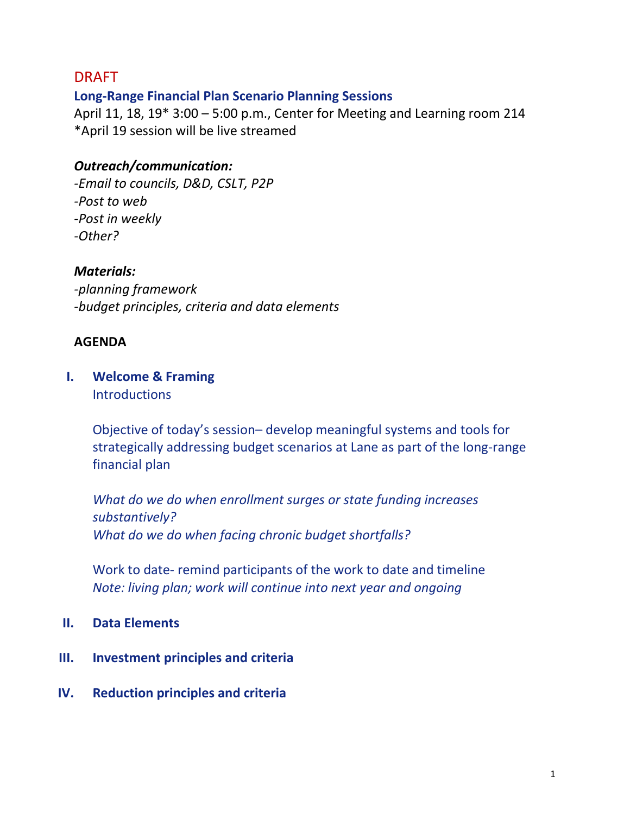# DRAFT

# **Long-Range Financial Plan Scenario Planning Sessions**

April 11, 18, 19\* 3:00 – 5:00 p.m., Center for Meeting and Learning room 214 \*April 19 session will be live streamed

# *Outreach/communication:*

*-Email to councils, D&D, CSLT, P2P -Post to web -Post in weekly -Other?*

### *Materials:*

*-planning framework -budget principles, criteria and data elements*

### **AGENDA**

### **I. Welcome & Framing Introductions**

Objective of today's session– develop meaningful systems and tools for strategically addressing budget scenarios at Lane as part of the long-range financial plan

*What do we do when enrollment surges or state funding increases substantively? What do we do when facing chronic budget shortfalls?*

Work to date- remind participants of the work to date and timeline *Note: living plan; work will continue into next year and ongoing*

### **II. Data Elements**

- **III. Investment principles and criteria**
- **IV. Reduction principles and criteria**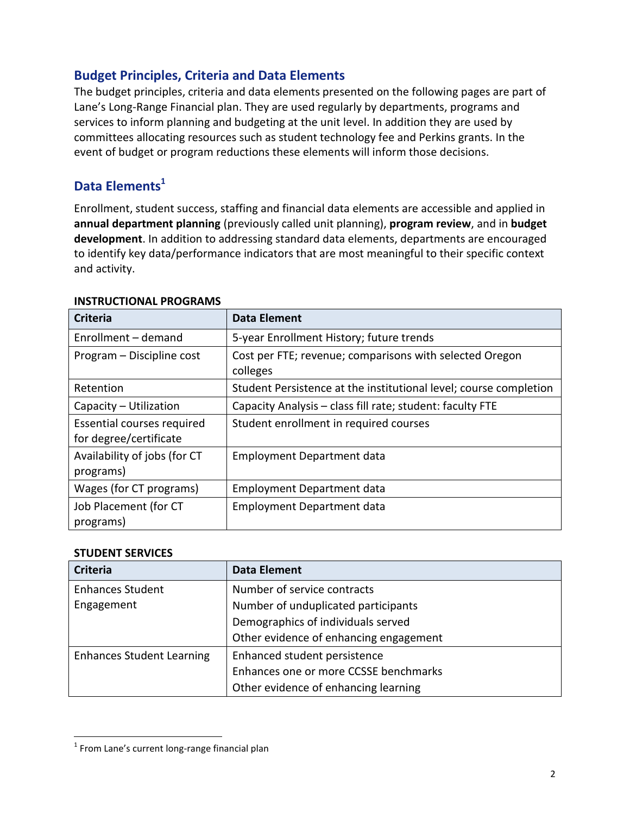### **Budget Principles, Criteria and Data Elements**

The budget principles, criteria and data elements presented on the following pages are part of Lane's Long-Range Financial plan. They are used regularly by departments, programs and services to inform planning and budgeting at the unit level. In addition they are used by committees allocating resources such as student technology fee and Perkins grants. In the event of budget or program reductions these elements will inform those decisions.

## **Data Elements<sup>1</sup>**

Enrollment, student success, staffing and financial data elements are accessible and applied in **annual department planning** (previously called unit planning), **program review**, and in **budget development**. In addition to addressing standard data elements, departments are encouraged to identify key data/performance indicators that are most meaningful to their specific context and activity.

| <b>Criteria</b>                                      | <b>Data Element</b>                                                 |
|------------------------------------------------------|---------------------------------------------------------------------|
| Enrollment – demand                                  | 5-year Enrollment History; future trends                            |
| Program - Discipline cost                            | Cost per FTE; revenue; comparisons with selected Oregon<br>colleges |
| Retention                                            | Student Persistence at the institutional level; course completion   |
| Capacity - Utilization                               | Capacity Analysis - class fill rate; student: faculty FTE           |
| Essential courses required<br>for degree/certificate | Student enrollment in required courses                              |
| Availability of jobs (for CT<br>programs)            | <b>Employment Department data</b>                                   |
| Wages (for CT programs)                              | <b>Employment Department data</b>                                   |
| Job Placement (for CT<br>programs)                   | <b>Employment Department data</b>                                   |

#### **INSTRUCTIONAL PROGRAMS**

#### **STUDENT SERVICES**

 $\overline{a}$ 

| <b>Criteria</b>                  | <b>Data Element</b>                    |
|----------------------------------|----------------------------------------|
| <b>Enhances Student</b>          | Number of service contracts            |
| Engagement                       | Number of unduplicated participants    |
|                                  | Demographics of individuals served     |
|                                  | Other evidence of enhancing engagement |
| <b>Enhances Student Learning</b> | Enhanced student persistence           |
|                                  | Enhances one or more CCSSE benchmarks  |
|                                  | Other evidence of enhancing learning   |

 $<sup>1</sup>$  From Lane's current long-range financial plan</sup>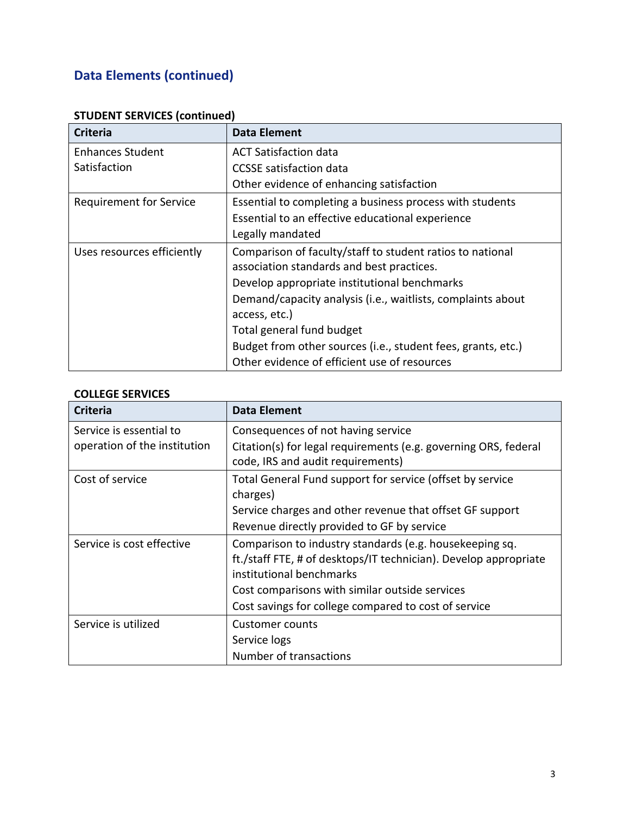# **Data Elements (continued)**

| <b>Criteria</b>                | Data Element                                                 |
|--------------------------------|--------------------------------------------------------------|
| <b>Enhances Student</b>        | <b>ACT Satisfaction data</b>                                 |
| Satisfaction                   | <b>CCSSE</b> satisfaction data                               |
|                                | Other evidence of enhancing satisfaction                     |
| <b>Requirement for Service</b> | Essential to completing a business process with students     |
|                                | Essential to an effective educational experience             |
|                                | Legally mandated                                             |
| Uses resources efficiently     | Comparison of faculty/staff to student ratios to national    |
|                                | association standards and best practices.                    |
|                                | Develop appropriate institutional benchmarks                 |
|                                | Demand/capacity analysis (i.e., waitlists, complaints about  |
|                                | access, etc.)                                                |
|                                | Total general fund budget                                    |
|                                | Budget from other sources (i.e., student fees, grants, etc.) |
|                                | Other evidence of efficient use of resources                 |

### **STUDENT SERVICES (continued)**

### **COLLEGE SERVICES**

| <b>Criteria</b>                                         | <b>Data Element</b>                                                                                   |
|---------------------------------------------------------|-------------------------------------------------------------------------------------------------------|
| Service is essential to<br>operation of the institution | Consequences of not having service<br>Citation(s) for legal requirements (e.g. governing ORS, federal |
|                                                         | code, IRS and audit requirements)                                                                     |
| Cost of service                                         | Total General Fund support for service (offset by service                                             |
|                                                         | charges)                                                                                              |
|                                                         | Service charges and other revenue that offset GF support                                              |
|                                                         | Revenue directly provided to GF by service                                                            |
| Service is cost effective                               | Comparison to industry standards (e.g. housekeeping sq.                                               |
|                                                         | ft./staff FTE, # of desktops/IT technician). Develop appropriate<br>institutional benchmarks          |
|                                                         | Cost comparisons with similar outside services                                                        |
|                                                         | Cost savings for college compared to cost of service                                                  |
| Service is utilized                                     | Customer counts                                                                                       |
|                                                         | Service logs                                                                                          |
|                                                         | Number of transactions                                                                                |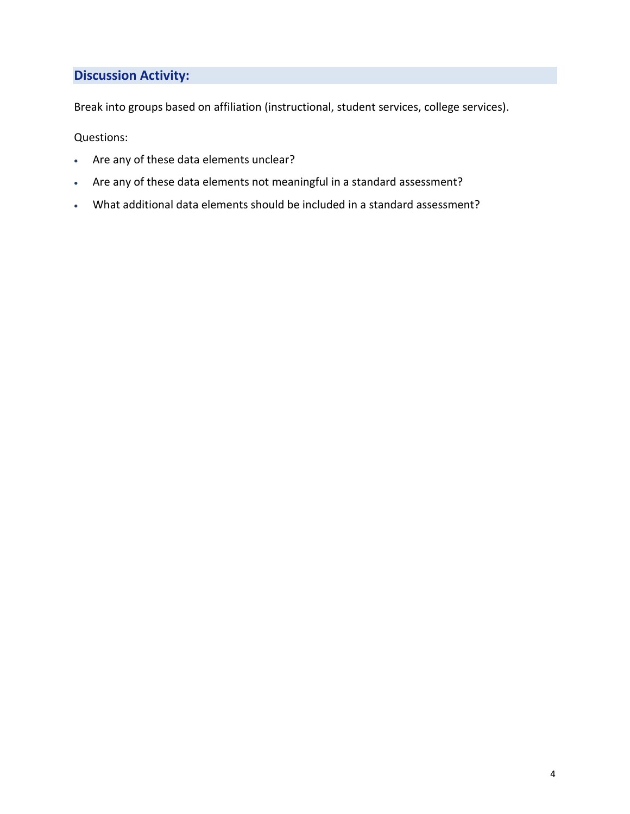### **Discussion Activity:**

Break into groups based on affiliation (instructional, student services, college services).

Questions:

- Are any of these data elements unclear?
- Are any of these data elements not meaningful in a standard assessment?
- What additional data elements should be included in a standard assessment?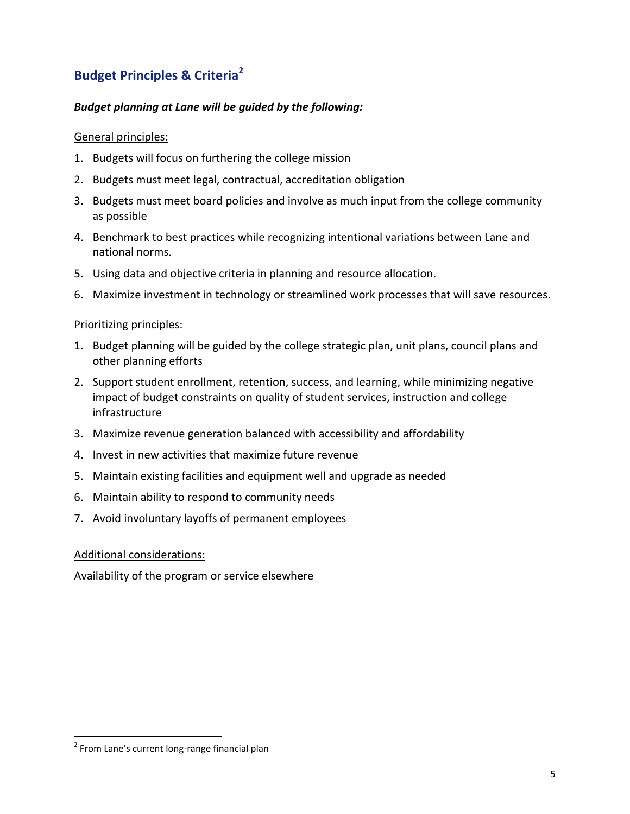# **Budget Principles & Criteria<sup>2</sup>**

#### *Budget planning at Lane will be guided by the following:*

#### General principles:

- 1. Budgets will focus on furthering the college mission
- 2. Budgets must meet legal, contractual, accreditation obligation
- 3. Budgets must meet board policies and involve as much input from the college community as possible
- 4. Benchmark to best practices while recognizing intentional variations between Lane and national norms.
- 5. Using data and objective criteria in planning and resource allocation.
- 6. Maximize investment in technology or streamlined work processes that will save resources.

#### Prioritizing principles:

- 1. Budget planning will be guided by the college strategic plan, unit plans, council plans and other planning efforts
- 2. Support student enrollment, retention, success, and learning, while minimizing negative impact of budget constraints on quality of student services, instruction and college infrastructure
- 3. Maximize revenue generation balanced with accessibility and affordability
- 4. Invest in new activities that maximize future revenue
- 5. Maintain existing facilities and equipment well and upgrade as needed
- 6. Maintain ability to respond to community needs
- 7. Avoid involuntary layoffs of permanent employees

#### Additional considerations:

Availability of the program or service elsewhere

 $\overline{a}$ 

<sup>&</sup>lt;sup>2</sup> From Lane's current long-range financial plan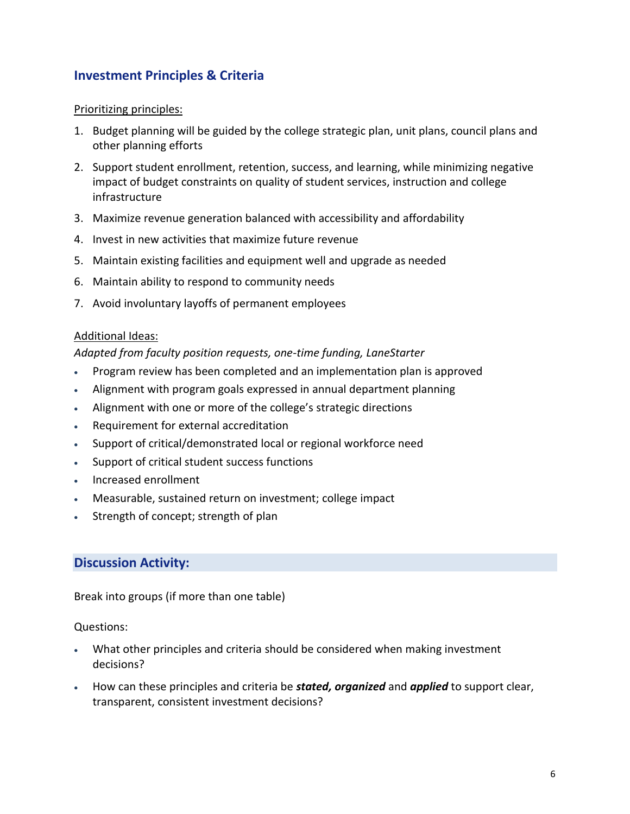### **Investment Principles & Criteria**

#### Prioritizing principles:

- 1. Budget planning will be guided by the college strategic plan, unit plans, council plans and other planning efforts
- 2. Support student enrollment, retention, success, and learning, while minimizing negative impact of budget constraints on quality of student services, instruction and college infrastructure
- 3. Maximize revenue generation balanced with accessibility and affordability
- 4. Invest in new activities that maximize future revenue
- 5. Maintain existing facilities and equipment well and upgrade as needed
- 6. Maintain ability to respond to community needs
- 7. Avoid involuntary layoffs of permanent employees

#### Additional Ideas:

#### *Adapted from faculty position requests, one-time funding, LaneStarter*

- Program review has been completed and an implementation plan is approved
- Alignment with program goals expressed in annual department planning
- Alignment with one or more of the college's strategic directions
- Requirement for external accreditation
- Support of critical/demonstrated local or regional workforce need
- Support of critical student success functions
- Increased enrollment
- Measurable, sustained return on investment; college impact
- Strength of concept; strength of plan

#### **Discussion Activity:**

Break into groups (if more than one table)

#### Questions:

- What other principles and criteria should be considered when making investment decisions?
- How can these principles and criteria be *stated, organized* and *applied* to support clear, transparent, consistent investment decisions?